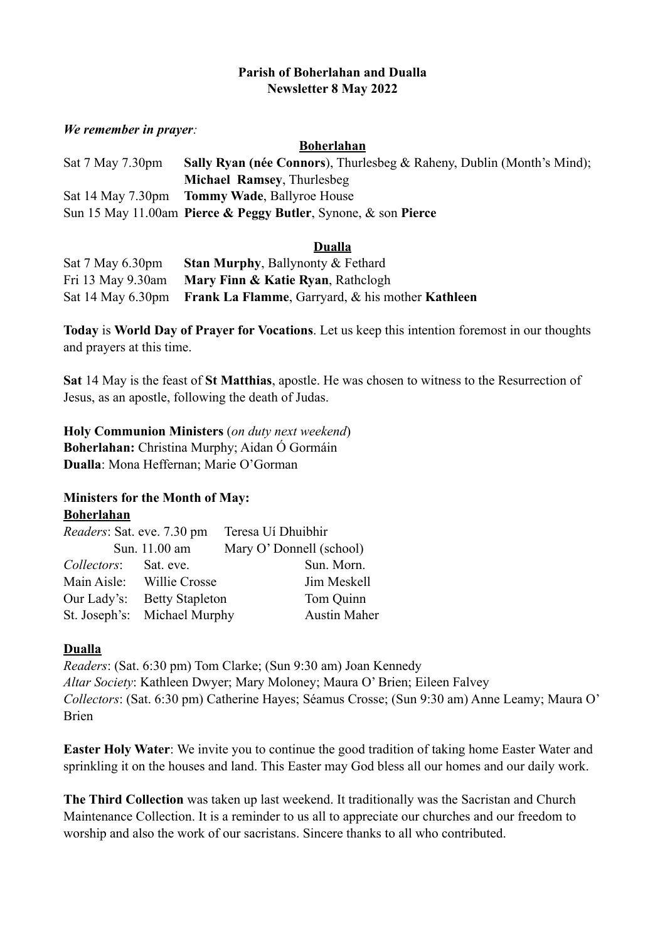## **Parish of Boherlahan and Dualla Newsletter 8 May 2022**

#### *We remember in prayer:*

#### **Boherlahan**

| Sat 7 May 7.30pm | <b>Sally Ryan (née Connors)</b> , Thurlesbeg & Raheny, Dublin (Month's Mind); |
|------------------|-------------------------------------------------------------------------------|
|                  | <b>Michael Ramsey, Thurlesbeg</b>                                             |
|                  | Sat 14 May 7.30pm Tommy Wade, Ballyroe House                                  |
|                  | Sun 15 May 11.00am Pierce & Peggy Butler, Synone, & son Pierce                |

## **Dualla**

| Sat 7 May 6.30pm | <b>Stan Murphy, Ballynonty &amp; Fethard</b>                       |
|------------------|--------------------------------------------------------------------|
|                  | Fri 13 May 9.30am Mary Finn & Katie Ryan, Rathclogh                |
|                  | Sat 14 May 6.30pm Frank La Flamme, Garryard, & his mother Kathleen |

**Today** is **World Day of Prayer for Vocations**. Let us keep this intention foremost in our thoughts and prayers at this time.

**Sat** 14 May is the feast of **St Matthias**, apostle. He was chosen to witness to the Resurrection of Jesus, as an apostle, following the death of Judas.

**Holy Communion Ministers** (*on duty next weekend*) **Boherlahan:** Christina Murphy; Aidan Ó Gormáin **Dualla**: Mona Heffernan; Marie O'Gorman

## **Ministers for the Month of May: Boherlahan**

| <i>Readers:</i> Sat. eve. 7.30 pm |                              | Teresa Uí Dhuibhir       |
|-----------------------------------|------------------------------|--------------------------|
|                                   | Sun. 11.00 am                | Mary O' Donnell (school) |
| Collectors: Sat. eve.             |                              | Sun. Morn.               |
|                                   | Main Aisle: Willie Crosse    | Jim Meskell              |
|                                   | Our Lady's: Betty Stapleton  | Tom Quinn                |
|                                   | St. Joseph's: Michael Murphy | <b>Austin Maher</b>      |

# **Dualla**

*Readers*: (Sat. 6:30 pm) Tom Clarke; (Sun 9:30 am) Joan Kennedy *Altar Society*: Kathleen Dwyer; Mary Moloney; Maura O' Brien; Eileen Falvey *Collectors*: (Sat. 6:30 pm) Catherine Hayes; Séamus Crosse; (Sun 9:30 am) Anne Leamy; Maura O' Brien

**Easter Holy Water**: We invite you to continue the good tradition of taking home Easter Water and sprinkling it on the houses and land. This Easter may God bless all our homes and our daily work.

**The Third Collection** was taken up last weekend. It traditionally was the Sacristan and Church Maintenance Collection. It is a reminder to us all to appreciate our churches and our freedom to worship and also the work of our sacristans. Sincere thanks to all who contributed.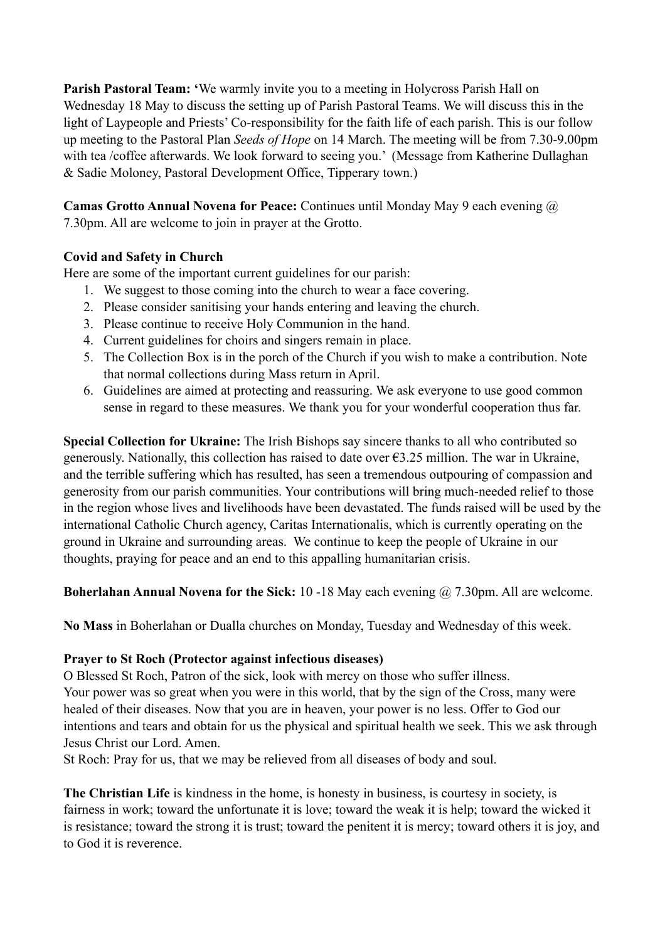**Parish Pastoral Team: '**We warmly invite you to a meeting in Holycross Parish Hall on Wednesday 18 May to discuss the setting up of Parish Pastoral Teams. We will discuss this in the light of Laypeople and Priests' Co-responsibility for the faith life of each parish. This is our follow up meeting to the Pastoral Plan *Seeds of Hope* on 14 March. The meeting will be from 7.30-9.00pm with tea /coffee afterwards. We look forward to seeing you.' (Message from Katherine Dullaghan & Sadie Moloney, Pastoral Development Office, Tipperary town.)

**Camas Grotto Annual Novena for Peace:** Continues until Monday May 9 each evening @ 7.30pm. All are welcome to join in prayer at the Grotto.

## **Covid and Safety in Church**

Here are some of the important current guidelines for our parish:

- 1. We suggest to those coming into the church to wear a face covering.
- 2. Please consider sanitising your hands entering and leaving the church.
- 3. Please continue to receive Holy Communion in the hand.
- 4. Current guidelines for choirs and singers remain in place.
- 5. The Collection Box is in the porch of the Church if you wish to make a contribution. Note that normal collections during Mass return in April.
- 6. Guidelines are aimed at protecting and reassuring. We ask everyone to use good common sense in regard to these measures. We thank you for your wonderful cooperation thus far.

**Special Collection for Ukraine:** The Irish Bishops say sincere thanks to all who contributed so generously. Nationally, this collection has raised to date over  $\epsilon$ 3.25 million. The war in Ukraine, and the terrible suffering which has resulted, has seen a tremendous outpouring of compassion and generosity from our parish communities. Your contributions will bring much-needed relief to those in the region whose lives and livelihoods have been devastated. The funds raised will be used by the international Catholic Church agency, Caritas Internationalis, which is currently operating on the ground in Ukraine and surrounding areas. We continue to keep the people of Ukraine in our thoughts, praying for peace and an end to this appalling humanitarian crisis.

**Boherlahan Annual Novena for the Sick:** 10 -18 May each evening @ 7.30pm. All are welcome.

**No Mass** in Boherlahan or Dualla churches on Monday, Tuesday and Wednesday of this week.

## **Prayer to St Roch (Protector against infectious diseases)**

O Blessed St Roch, Patron of the sick, look with mercy on those who suffer illness. Your power was so great when you were in this world, that by the sign of the Cross, many were healed of their diseases. Now that you are in heaven, your power is no less. Offer to God our intentions and tears and obtain for us the physical and spiritual health we seek. This we ask through Jesus Christ our Lord. Amen.

St Roch: Pray for us, that we may be relieved from all diseases of body and soul.

**The Christian Life** is kindness in the home, is honesty in business, is courtesy in society, is fairness in work; toward the unfortunate it is love; toward the weak it is help; toward the wicked it is resistance; toward the strong it is trust; toward the penitent it is mercy; toward others it is joy, and to God it is reverence.